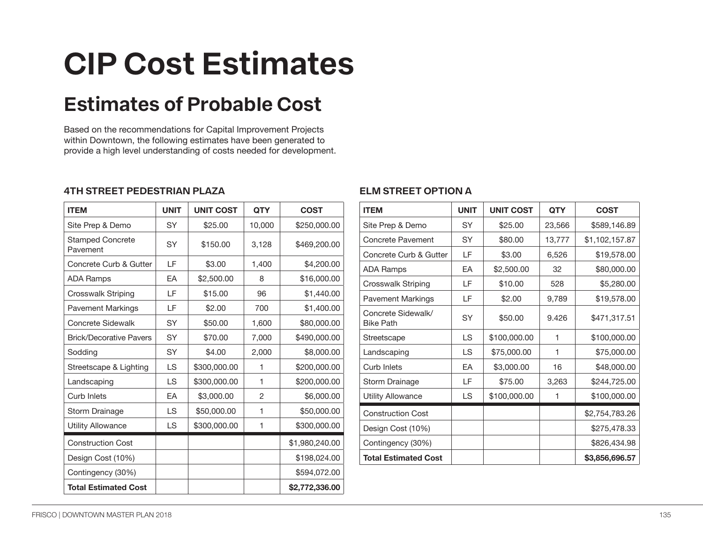# **CIP Cost Estimates**

# **Estimates of Probable Cost**

Based on the recommendations for Capital Improvement Projects within Downtown, the following estimates have been generated to provide a high level understanding of costs needed for development.

#### **4TH STREET PEDESTRIAN PLAZA**

| <b>ITEM</b>                         | <b>UNIT</b> | <b>UNIT COST</b> | <b>QTY</b>     | <b>COST</b>    |
|-------------------------------------|-------------|------------------|----------------|----------------|
| Site Prep & Demo                    | <b>SY</b>   | \$25.00          | 10,000         | \$250,000.00   |
| <b>Stamped Concrete</b><br>Pavement | <b>SY</b>   | \$150.00         | 3,128          | \$469,200.00   |
| Concrete Curb & Gutter              | LF          | \$3.00           | 1,400          | \$4,200.00     |
| <b>ADA Ramps</b>                    | EA          | \$2,500.00       | 8              | \$16,000.00    |
| <b>Crosswalk Striping</b>           | LF          | \$15.00          | 96             | \$1,440.00     |
| <b>Pavement Markings</b>            | LF          | \$2.00           | 700            | \$1,400.00     |
| <b>Concrete Sidewalk</b>            | SY          | \$50.00          | 1,600          | \$80,000.00    |
| <b>Brick/Decorative Pavers</b>      | <b>SY</b>   | \$70.00          | 7,000          | \$490,000.00   |
| Sodding                             | <b>SY</b>   | \$4.00           | 2,000          | \$8,000.00     |
| Streetscape & Lighting              | <b>LS</b>   | \$300,000.00     | 1              | \$200,000.00   |
| Landscaping                         | <b>LS</b>   | \$300,000.00     | 1              | \$200,000.00   |
| Curb Inlets                         | EA          | \$3,000.00       | $\overline{c}$ | \$6,000.00     |
| Storm Drainage                      | <b>LS</b>   | \$50,000.00      | 1              | \$50,000.00    |
| <b>Utility Allowance</b>            | <b>LS</b>   | \$300,000.00     | 1              | \$300,000.00   |
| <b>Construction Cost</b>            |             |                  |                | \$1,980,240.00 |
| Design Cost (10%)                   |             |                  |                | \$198,024.00   |
| Contingency (30%)                   |             |                  |                | \$594,072.00   |
| <b>Total Estimated Cost</b>         |             |                  |                | \$2,772,336.00 |

### **ELM STREET OPTION A**

| <b>ITEM</b>                            | <b>UNIT</b> | <b>UNIT COST</b> | <b>QTY</b> | <b>COST</b>    |
|----------------------------------------|-------------|------------------|------------|----------------|
| Site Prep & Demo                       | SY          | \$25.00          | 23,566     | \$589,146.89   |
| Concrete Pavement                      | <b>SY</b>   | \$80.00          | 13,777     | \$1,102,157.87 |
| Concrete Curb & Gutter                 | LF          | \$3.00           | 6,526      | \$19,578.00    |
| <b>ADA Ramps</b>                       | FA          | \$2,500.00       | 32         | \$80,000.00    |
| <b>Crosswalk Striping</b>              | LF          | \$10.00          | 528        | \$5,280.00     |
| <b>Pavement Markings</b>               | LF          | \$2.00           | 9,789      | \$19,578.00    |
| Concrete Sidewalk/<br><b>Bike Path</b> | <b>SY</b>   | \$50.00          | 9.426      | \$471,317.51   |
| Streetscape                            | <b>LS</b>   | \$100,000.00     | 1          | \$100,000.00   |
| Landscaping                            | <b>LS</b>   | \$75,000.00      | 1          | \$75,000.00    |
| Curb Inlets                            | <b>FA</b>   | \$3,000.00       | 16         | \$48,000.00    |
| Storm Drainage                         | LF          | \$75.00          | 3,263      | \$244,725.00   |
| <b>Utility Allowance</b>               | LS          | \$100,000.00     | 1          | \$100,000.00   |
| <b>Construction Cost</b>               |             |                  |            | \$2,754,783.26 |
| Design Cost (10%)                      |             |                  |            | \$275,478.33   |
| Contingency (30%)                      |             |                  |            | \$826,434.98   |
| <b>Total Estimated Cost</b>            |             |                  |            | \$3,856,696.57 |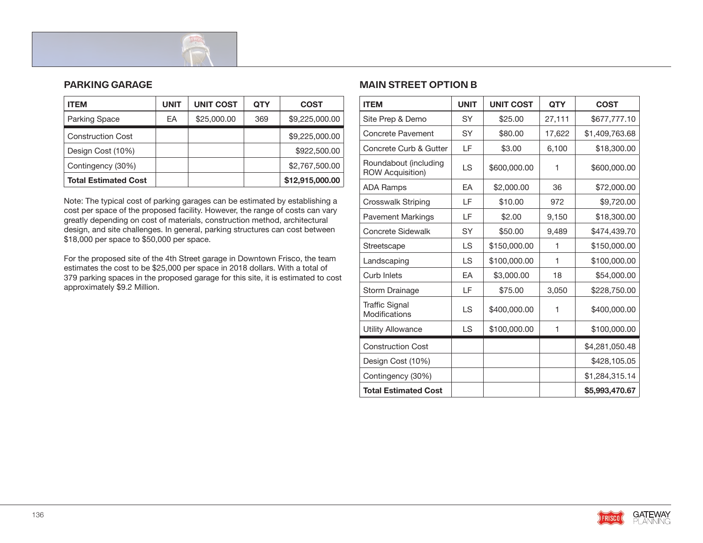

#### **PARKING GARAGE**

| <b>ITEM</b>                 | <b>UNIT</b> | <b>UNIT COST</b> | <b>QTY</b> | <b>COST</b>     |
|-----------------------------|-------------|------------------|------------|-----------------|
| Parking Space               | EA          | \$25,000.00      | 369        | \$9,225,000.00  |
| <b>Construction Cost</b>    |             |                  |            | \$9,225,000.00  |
| Design Cost (10%)           |             |                  |            | \$922,500.00    |
| Contingency (30%)           |             |                  |            | \$2,767,500.00  |
| <b>Total Estimated Cost</b> |             |                  |            | \$12,915,000.00 |

Note: The typical cost of parking garages can be estimated by establishing a cost per space of the proposed facility. However, the range of costs can vary greatly depending on cost of materials, construction method, architectural design, and site challenges. In general, parking structures can cost between \$18,000 per space to \$50,000 per space.

For the proposed site of the 4th Street garage in Downtown Frisco, the team estimates the cost to be \$25,000 per space in 2018 dollars. With a total of 379 parking spaces in the proposed garage for this site, it is estimated to cost approximately \$9.2 Million.

#### **MAIN STREET OPTION B**

| <b>ITEM</b>                                      | <b>UNIT</b> | <b>UNIT COST</b> | <b>QTY</b> | <b>COST</b>    |
|--------------------------------------------------|-------------|------------------|------------|----------------|
| Site Prep & Demo                                 | SY          | \$25.00          | 27,111     | \$677,777.10   |
| <b>Concrete Pavement</b>                         | SY          | \$80.00          | 17,622     | \$1,409,763.68 |
| Concrete Curb & Gutter                           | LF          | \$3.00           | 6,100      | \$18,300.00    |
| Roundabout (including<br><b>ROW Acquisition)</b> | <b>LS</b>   | \$600,000.00     | 1          | \$600,000.00   |
| <b>ADA Ramps</b>                                 | EA          | \$2,000.00       | 36         | \$72,000.00    |
| <b>Crosswalk Striping</b>                        | LF          | \$10.00          | 972        | \$9,720.00     |
| <b>Pavement Markings</b>                         | LF          | \$2.00           | 9,150      | \$18,300.00    |
| <b>Concrete Sidewalk</b>                         | SY          | \$50.00          | 9,489      | \$474,439.70   |
| Streetscape                                      | LS          | \$150,000.00     | 1          | \$150,000.00   |
| Landscaping                                      | <b>LS</b>   | \$100,000.00     | 1          | \$100,000.00   |
| <b>Curb Inlets</b>                               | EA          | \$3,000.00       | 18         | \$54,000.00    |
| <b>Storm Drainage</b>                            | LF          | \$75.00          | 3,050      | \$228,750.00   |
| <b>Traffic Signal</b><br>Modifications           | LS          | \$400,000.00     | 1          | \$400,000.00   |
| <b>Utility Allowance</b>                         | <b>LS</b>   | \$100,000.00     | 1          | \$100,000.00   |
| <b>Construction Cost</b>                         |             |                  |            | \$4,281,050.48 |
| Design Cost (10%)                                |             |                  |            | \$428,105.05   |
| Contingency (30%)                                |             |                  |            | \$1,284,315.14 |
| <b>Total Estimated Cost</b>                      |             |                  |            | \$5,993,470.67 |

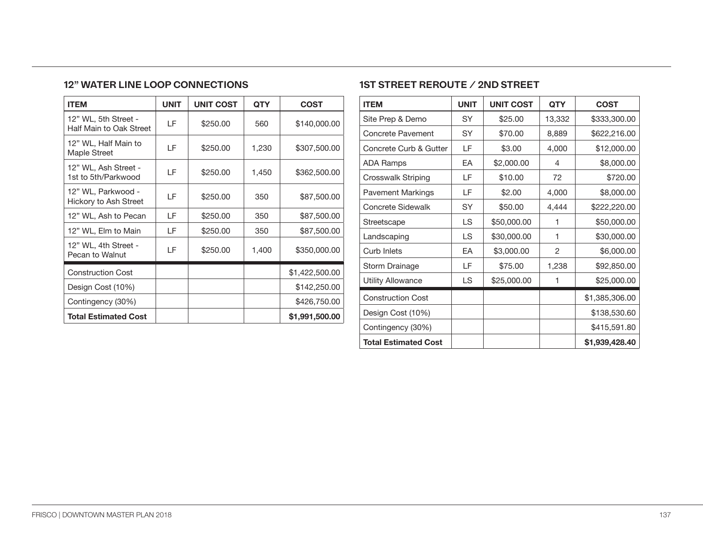#### **12" WATER LINE LOOP CONNECTIONS**

| <b>ITEM</b>                                     | <b>UNIT</b> | <b>UNIT COST</b> | <b>QTY</b> | <b>COST</b>    |
|-------------------------------------------------|-------------|------------------|------------|----------------|
| 12" WL, 5th Street -<br>Half Main to Oak Street | LF          | \$250.00         | 560        | \$140,000.00   |
| 12" WL, Half Main to<br>Maple Street            | ΙF          | \$250.00         | 1,230      | \$307,500.00   |
| 12" WL, Ash Street -<br>1st to 5th/Parkwood     | LF          | \$250.00         | 1,450      | \$362,500.00   |
| 12" WL, Parkwood -<br>Hickory to Ash Street     | LF          | \$250.00         | 350        | \$87,500.00    |
| 12" WL, Ash to Pecan                            | LF          | \$250.00         | 350        | \$87,500.00    |
| 12" WL, Elm to Main                             | LF          | \$250.00         | 350        | \$87,500.00    |
| 12" WL, 4th Street -<br>Pecan to Walnut         | LF          | \$250.00         | 1,400      | \$350,000.00   |
| <b>Construction Cost</b>                        |             |                  |            | \$1,422,500.00 |
| Design Cost (10%)                               |             |                  |            | \$142,250.00   |
| Contingency (30%)                               |             |                  |            | \$426,750.00   |
| <b>Total Estimated Cost</b>                     |             |                  |            | \$1,991,500.00 |

## **1ST STREET REROUTE / 2ND STREET**

| <b>ITEM</b>                 | <b>UNIT</b> | <b>UNIT COST</b> | <b>QTY</b> | <b>COST</b>    |
|-----------------------------|-------------|------------------|------------|----------------|
| Site Prep & Demo            | SY          | \$25.00          | 13,332     | \$333,300.00   |
| <b>Concrete Pavement</b>    | SY          | \$70.00          | 8,889      | \$622,216.00   |
| Concrete Curb & Gutter      | LF          | \$3.00           | 4,000      | \$12,000.00    |
| <b>ADA Ramps</b>            | EA          | \$2,000.00       | 4          | \$8,000.00     |
| Crosswalk Striping          | LF          | \$10.00          | 72         | \$720.00       |
| <b>Pavement Markings</b>    | LF          | \$2.00           | 4,000      | \$8,000.00     |
| Concrete Sidewalk           | SY          | \$50.00          | 4,444      | \$222,220.00   |
| Streetscape                 | LS          | \$50,000.00      | 1          | \$50,000.00    |
| Landscaping                 | LS          | \$30,000.00      | 1          | \$30,000.00    |
| Curb Inlets                 | EA          | \$3,000.00       | 2          | \$6,000.00     |
| Storm Drainage              | ΙF          | \$75.00          | 1,238      | \$92,850.00    |
| <b>Utility Allowance</b>    | LS          | \$25,000.00      | 1          | \$25,000.00    |
| <b>Construction Cost</b>    |             |                  |            | \$1,385,306.00 |
| Design Cost (10%)           |             |                  |            | \$138,530.60   |
| Contingency (30%)           |             |                  |            | \$415,591.80   |
| <b>Total Estimated Cost</b> |             |                  |            | \$1,939,428.40 |